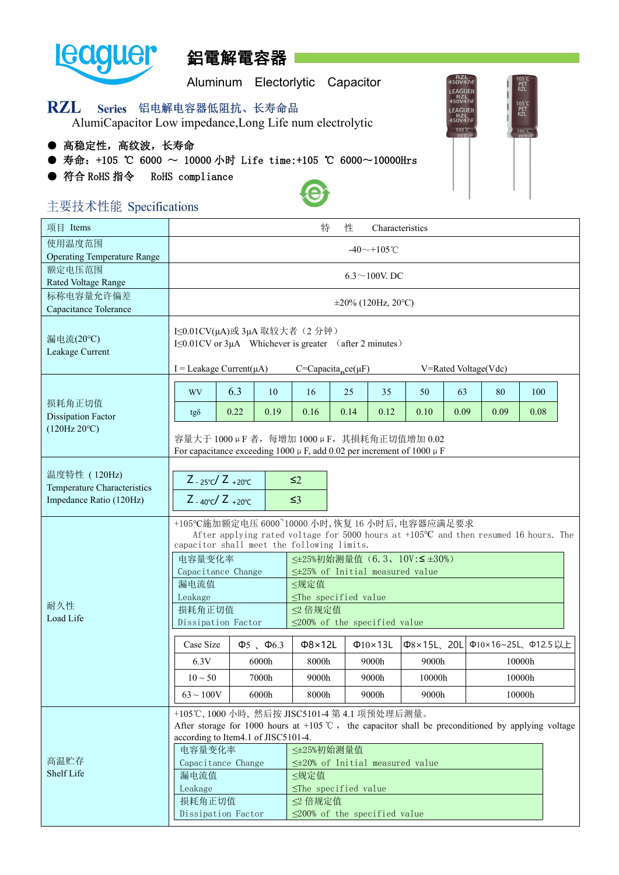

# 鋁電解電容器

Aluminum Electorlytic Capacitor

RZL<br>150V471 EAGLIFI

05<br>PET<br>RZL

#### **RZL** Series 铝电解电容器低阻抗、长寿命品

AlumiCapacitor Low impedance,Long Life num electrolytic

- 高稳定性, 高纹波, 长寿命
- 寿命: +105 ℃ 6000 ~ 10000 小时 Life time:+105 ℃ 6000~10000Hrs
- 符合 RoHS 指令 RoHS compliance



| 项目 Items                           |                                                                                                                                                                                                                                              |      |                                | 特                                                                                                  | 性    | Characteristics      |                      |      |                     |      |  |
|------------------------------------|----------------------------------------------------------------------------------------------------------------------------------------------------------------------------------------------------------------------------------------------|------|--------------------------------|----------------------------------------------------------------------------------------------------|------|----------------------|----------------------|------|---------------------|------|--|
| 使用温度范围                             |                                                                                                                                                                                                                                              |      |                                |                                                                                                    |      | $-40$ ~+105°C        |                      |      |                     |      |  |
| <b>Operating Temperature Range</b> |                                                                                                                                                                                                                                              |      |                                |                                                                                                    |      |                      |                      |      |                     |      |  |
| 额定电压范围                             |                                                                                                                                                                                                                                              |      |                                |                                                                                                    |      | $6.3 \sim 100$ V. DC |                      |      |                     |      |  |
| Rated Voltage Range                |                                                                                                                                                                                                                                              |      |                                |                                                                                                    |      |                      |                      |      |                     |      |  |
| 标称电容量允许偏差<br>Capacitance Tolerance | $\pm 20\%$ (120Hz, 20 °C)                                                                                                                                                                                                                    |      |                                |                                                                                                    |      |                      |                      |      |                     |      |  |
|                                    |                                                                                                                                                                                                                                              |      |                                |                                                                                                    |      |                      |                      |      |                     |      |  |
| 漏电流(20°C)<br>Leakage Current       | I≤0.01CV(μA)或 3μA 取较大者 (2分钟)<br>I≤0.01CV or 3µA Whichever is greater (after 2 minutes)                                                                                                                                                       |      |                                |                                                                                                    |      |                      |                      |      |                     |      |  |
|                                    | $I =$ Leakage Current( $\mu$ A)                                                                                                                                                                                                              |      |                                | $C=Capacitance(\mu F)$                                                                             |      |                      | V=Rated Voltage(Vdc) |      |                     |      |  |
|                                    | WV                                                                                                                                                                                                                                           | 6.3  | 10                             | 16                                                                                                 | 25   | 35                   | 50                   | 63   | 80                  | 100  |  |
| 损耗角正切值<br>Dissipation Factor       | $tg\delta$                                                                                                                                                                                                                                   | 0.22 | 0.19                           | 0.16                                                                                               | 0.14 | 0.12                 | 0.10                 | 0.09 | 0.09                | 0.08 |  |
| (120 Hz 20°C)                      | 容量大于 1000 µ F 者, 每增加 1000 µ F, 其損耗角正切值增加 0.02<br>For capacitance exceeding 1000 $\mu$ F, add 0.02 per increment of 1000 $\mu$ F                                                                                                              |      |                                |                                                                                                    |      |                      |                      |      |                     |      |  |
| 温度特性 (120Hz)                       |                                                                                                                                                                                                                                              |      |                                |                                                                                                    |      |                      |                      |      |                     |      |  |
| Temperature Characteristics        | $Z_{-25\degree}C/Z_{+20\degree}C$<br>$\leq 2$                                                                                                                                                                                                |      |                                |                                                                                                    |      |                      |                      |      |                     |      |  |
| Impedance Ratio (120Hz)            | $Z - 40^{\circ}C / Z + 20^{\circ}C$<br>$\leq$ 3                                                                                                                                                                                              |      |                                |                                                                                                    |      |                      |                      |      |                     |      |  |
|                                    | +105℃施加额定电压 6000~10000 小时, 恢复 16 小时后, 电容器应满足要求<br>After applying rated voltage for 5000 hours at $+105^{\circ}\text{C}$ and then resumed 16 hours. The<br>capacitor shall meet the following limits.<br>≤±25%初始测量值 (6.3、10V:≤±30%)<br>电容量变化率 |      |                                |                                                                                                    |      |                      |                      |      |                     |      |  |
|                                    |                                                                                                                                                                                                                                              |      |                                |                                                                                                    |      |                      |                      |      |                     |      |  |
|                                    | Capacitance Change                                                                                                                                                                                                                           |      |                                | $\leq$ ±25% of Initial measured value                                                              |      |                      |                      |      |                     |      |  |
|                                    | 漏电流值<br>Leakage                                                                                                                                                                                                                              |      |                                | ≤规定值<br>$\leq$ The specified value                                                                 |      |                      |                      |      |                     |      |  |
| 耐久性                                | 损耗角正切值                                                                                                                                                                                                                                       |      |                                | ≤2 倍规定值                                                                                            |      |                      |                      |      |                     |      |  |
| Load Life                          | Dissipation Factor                                                                                                                                                                                                                           |      |                                | $\leq$ 200% of the specified value                                                                 |      |                      |                      |      |                     |      |  |
|                                    | Case Size                                                                                                                                                                                                                                    |      | $\Phi$ <sub>5</sub> $\Phi$ 6.3 | Φ8×12L                                                                                             |      | $\Phi$ 10×13L        | Φ8×15L、20L           |      | Φ10×16~25L、Φ12.5 以上 |      |  |
|                                    | 6.3V                                                                                                                                                                                                                                         |      | 6000h                          | 8000h                                                                                              |      | 9000h                | 9000h                |      | 10000h              |      |  |
|                                    | $10 \sim 50$                                                                                                                                                                                                                                 |      | 7000h                          | 9000h                                                                                              |      | 9000h                | 10000h               |      | 10000h              |      |  |
|                                    | $63 \sim 100 \text{V}$                                                                                                                                                                                                                       |      | 6000h                          | 8000h                                                                                              |      | 9000h                | 9000h                |      | 10000h              |      |  |
|                                    |                                                                                                                                                                                                                                              |      |                                | +105℃, 1000 小時, 然后按 JISC5101-4 第 4.1 项预处理后测量。                                                      |      |                      |                      |      |                     |      |  |
|                                    |                                                                                                                                                                                                                                              |      |                                | After storage for 1000 hours at +105 °C, the capacitor shall be preconditioned by applying voltage |      |                      |                      |      |                     |      |  |
|                                    | according to Item4.1 of JISC5101-4.                                                                                                                                                                                                          |      |                                |                                                                                                    |      |                      |                      |      |                     |      |  |
|                                    | 电容量变化率                                                                                                                                                                                                                                       |      |                                | ≤±25%初始测量值                                                                                         |      |                      |                      |      |                     |      |  |
| 高温贮存                               | Capacitance Change                                                                                                                                                                                                                           |      |                                | $\leq\pm20\%$ of Initial measured value                                                            |      |                      |                      |      |                     |      |  |
| Shelf Life                         | 漏电流值                                                                                                                                                                                                                                         |      |                                | ≤规定值                                                                                               |      |                      |                      |      |                     |      |  |
|                                    | Leakage                                                                                                                                                                                                                                      |      |                                | $\leq$ The specified value                                                                         |      |                      |                      |      |                     |      |  |
|                                    | 损耗角正切值<br>Dissipation Factor                                                                                                                                                                                                                 |      |                                | ≤2 倍规定值<br>$\leq$ 200% of the specified value                                                      |      |                      |                      |      |                     |      |  |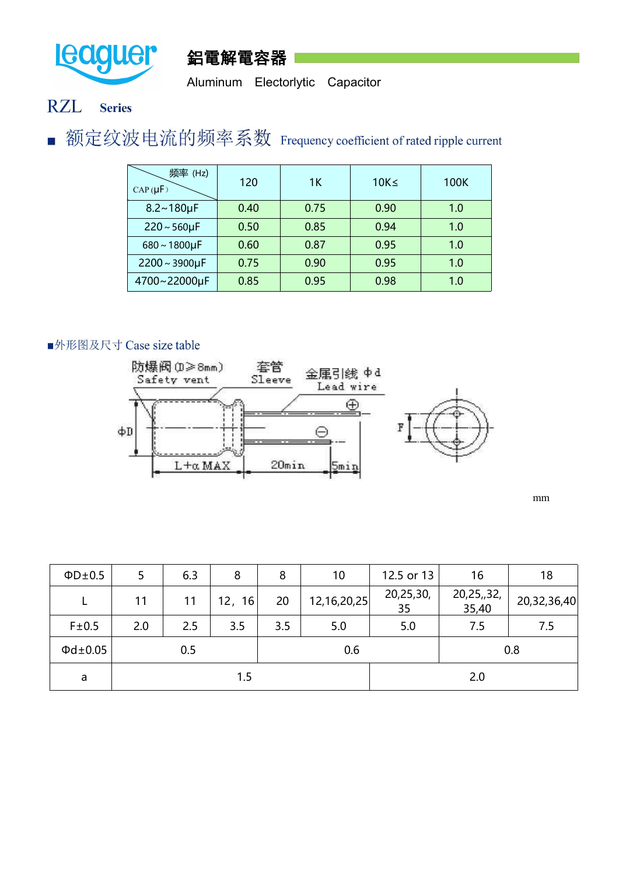



Aluminum Electorlytic Capacitor

### **RZL Series**

■ 额定纹波电流的频率系数 Frequency coefficient of rated ripple current

| 频率 (Hz)<br>$CAP(\mu F)$ | 120  | 1K   | $10K \leq$ | 100K |
|-------------------------|------|------|------------|------|
| $8.2 - 180 \mu F$       | 0.40 | 0.75 | 0.90       | 1.0  |
| $220 - 560 \mu F$       | 0.50 | 0.85 | 0.94       | 1.0  |
| $680 - 1800 \mu F$      | 0.60 | 0.87 | 0.95       | 1.0  |
| $2200 \sim 3900 \mu F$  | 0.75 | 0.90 | 0.95       | 1.0  |
| 4700~22000µF            | 0.85 | 0.95 | 0.98       | 1.0  |

### ■外形图及尺寸 Case size table



mm

| $\Phi D \pm 0.5$    | 5   | 6.3 | 8         | 8   | 10          | 12.5 or 13      | 16                  | 18          |
|---------------------|-----|-----|-----------|-----|-------------|-----------------|---------------------|-------------|
| ┶                   | 11  | 11  | 16<br>12, | 20  | 12,16,20,25 | 20,25,30,<br>35 | 20,25,,32,<br>35,40 | 20,32,36,40 |
| F±0.5               | 2.0 | 2.5 | 3.5       | 3.5 | 5.0<br>5.0  |                 | 7.5                 | 7.5         |
| $\Phi$ d $\pm$ 0.05 |     | 0.5 |           |     | 0.8         |                 |                     |             |
| a                   |     |     | 1.5       |     |             | 2.0             |                     |             |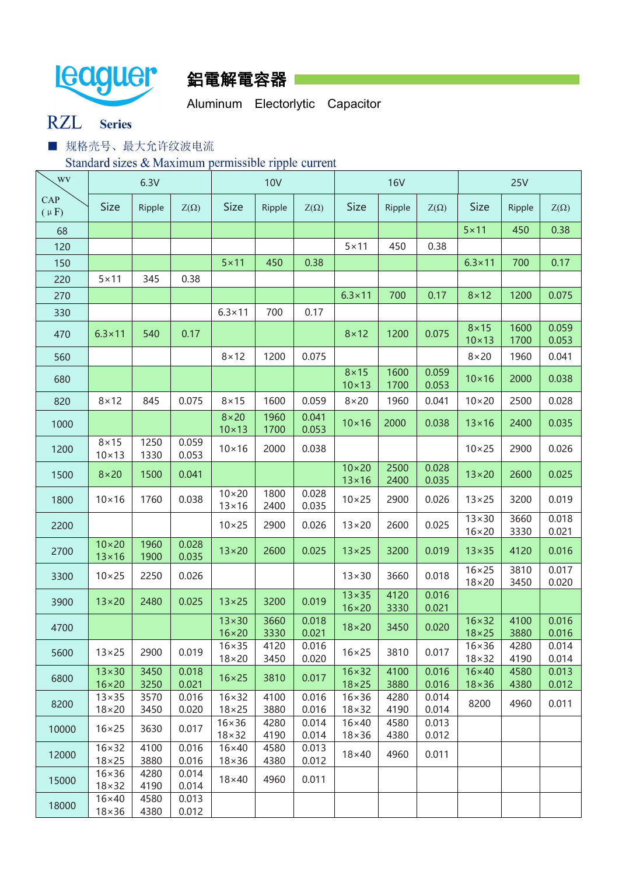

## 鋁電解電容器

Aluminum Electorlytic Capacitor

### **RZL Series**

■ 规格壳号、最大允许纹波电流

Standard sizes & Maximum permissible ripple current

| WV               | 6.3V                             |              |                |                                  | <b>10V</b>   |                | <b>16V</b>                       |              |                | <b>25V</b>                       |              |                |  |
|------------------|----------------------------------|--------------|----------------|----------------------------------|--------------|----------------|----------------------------------|--------------|----------------|----------------------------------|--------------|----------------|--|
| CAP<br>$(\mu F)$ | <b>Size</b>                      | Ripple       | $Z(\Omega)$    | <b>Size</b>                      | Ripple       | $Z(\Omega)$    | <b>Size</b>                      | Ripple       | $Z(\Omega)$    | <b>Size</b>                      | Ripple       | $Z(\Omega)$    |  |
| 68               |                                  |              |                |                                  |              |                |                                  |              |                | $5 \times 11$                    | 450          | 0.38           |  |
| 120              |                                  |              |                |                                  |              |                | $5 \times 11$                    | 450          | 0.38           |                                  |              |                |  |
| 150              |                                  |              |                | $5 \times 11$                    | 450          | 0.38           |                                  |              |                | $6.3 \times 11$                  | 700          | 0.17           |  |
| 220              | $5 \times 11$                    | 345          | 0.38           |                                  |              |                |                                  |              |                |                                  |              |                |  |
| 270              |                                  |              |                |                                  |              |                | $6.3 \times 11$                  | 700          | 0.17           | $8 \times 12$                    | 1200         | 0.075          |  |
| 330              |                                  |              |                | $6.3 \times 11$                  | 700          | 0.17           |                                  |              |                |                                  |              |                |  |
|                  |                                  |              |                |                                  |              |                |                                  |              |                | $8 \times 15$                    | 1600         | 0.059          |  |
| 470              | $6.3 \times 11$                  | 540          | 0.17           |                                  |              |                | $8 \times 12$                    | 1200         | 0.075          | $10 \times 13$                   | 1700         | 0.053          |  |
| 560              |                                  |              |                | $8 \times 12$                    | 1200         | 0.075          |                                  |              |                | $8 \times 20$                    | 1960         | 0.041          |  |
|                  |                                  |              |                |                                  |              |                | $8 \times 15$                    | 1600         | 0.059          |                                  |              |                |  |
| 680              |                                  |              |                |                                  |              |                | $10 \times 13$                   | 1700         | 0.053          | $10\times 16$                    | 2000         | 0.038          |  |
| 820              | $8 \times 12$                    | 845          | 0.075          | $8 \times 15$                    | 1600         | 0.059          | $8 \times 20$                    | 1960         | 0.041          | $10 \times 20$                   | 2500         | 0.028          |  |
|                  |                                  |              |                | $8 \times 20$                    | 1960         | 0.041          | $10\times 16$                    | 2000         | 0.038          | $13\times16$                     | 2400         | 0.035          |  |
| 1000             |                                  |              |                | $10 \times 13$                   | 1700         | 0.053          |                                  |              |                |                                  |              |                |  |
| 1200             | $8 \times 15$<br>$10 \times 13$  | 1250<br>1330 | 0.059          | $10 \times 16$                   | 2000         | 0.038          |                                  |              |                | $10 \times 25$                   | 2900         | 0.026          |  |
|                  |                                  |              | 0.053          |                                  |              |                | $10 \times 20$                   | 2500         | 0.028          |                                  |              |                |  |
| 1500             | $8 \times 20$                    | 1500         | 0.041          |                                  |              |                | $13 \times 16$                   | 2400         | 0.035          | $13 \times 20$                   | 2600         | 0.025          |  |
| 1800             | $10 \times 16$                   | 1760         | 0.038          | $10 \times 20$<br>$13 \times 16$ | 1800<br>2400 | 0.028<br>0.035 | $10 \times 25$                   | 2900         | 0.026          | $13 \times 25$                   | 3200         | 0.019          |  |
| 2200             |                                  |              |                | $10 \times 25$                   | 2900         | 0.026          | $13 \times 20$                   | 2600         | 0.025          | $13 \times 30$                   | 3660         | 0.018          |  |
|                  |                                  |              |                |                                  |              |                |                                  |              |                | $16 \times 20$                   | 3330         | 0.021          |  |
| 2700             | $10 \times 20$<br>$13 \times 16$ | 1960<br>1900 | 0.028<br>0.035 | $13 \times 20$                   | 2600         | 0.025          | $13 \times 25$                   | 3200         | 0.019          | $13\times35$                     | 4120         | 0.016          |  |
| 3300             | $10 \times 25$                   | 2250         | 0.026          |                                  |              |                | $13 \times 30$                   | 3660         | 0.018          | $16 \times 25$<br>$18 \times 20$ | 3810<br>3450 | 0.017<br>0.020 |  |
| 3900             | $13 \times 20$                   | 2480         | 0.025          | $13 \times 25$                   | 3200         | 0.019          | $13 \times 35$                   | 4120         | 0.016          |                                  |              |                |  |
|                  |                                  |              |                | $13\times30$                     | 3660         | 0.018          | $16 \times 20$                   | 3330         | 0.021          | $16 \times 32$                   | 4100         | 0.016          |  |
| 4700             |                                  |              |                | $16 \times 20$                   | 3330         | 0.021          | $18 \times 20$                   | 3450         | 0.020          | $18 \times 25$                   | 3880         | 0.016          |  |
|                  | $13 \times 25$                   | 2900         | 0.019          | $16 \times 35$                   | 4120         | 0.016          | $16 \times 25$                   | 3810         | 0.017          | $16 \times 36$                   | 4280         | 0.014          |  |
| 5600             |                                  |              |                | $18 \times 20$                   | 3450         | 0.020          |                                  |              |                | $18 \times 32$                   | 4190         | 0.014          |  |
| 6800             | $13\times30$                     | 3450         | 0.018          | $16 \times 25$                   | 3810         | 0.017          | $16 \times 32$                   | 4100         | 0.016          | $16\times40$                     | 4580         | 0.013          |  |
|                  | $16 \times 20$<br>$13 \times 35$ | 3250<br>3570 | 0.021<br>0.016 | $16 \times 32$                   | 4100         | 0.016          | $18 \times 25$<br>$16 \times 36$ | 3880<br>4280 | 0.016<br>0.014 | $18\times36$                     | 4380         | 0.012          |  |
| 8200             | $18 \times 20$                   | 3450         | 0.020          | $18 \times 25$                   | 3880         | 0.016          | $18 \times 32$                   | 4190         | 0.014          | 8200                             | 4960         | 0.011          |  |
|                  |                                  | 3630         | 0.017          | $16 \times 36$                   | 4280         | 0.014          | $16\times40$                     | 4580         | 0.013          |                                  |              |                |  |
| 10000            | $16 \times 25$                   |              |                | $18 \times 32$                   | 4190         | 0.014          | $18 \times 36$                   | 4380         | 0.012          |                                  |              |                |  |
| 12000            | $16 \times 32$                   | 4100         | 0.016          | $16\times40$                     | 4580         | 0.013          | $18\times40$                     | 4960         | 0.011          |                                  |              |                |  |
|                  | $18 \times 25$<br>$16 \times 36$ | 3880<br>4280 | 0.016<br>0.014 | $18\times36$                     | 4380         | 0.012          |                                  |              |                |                                  |              |                |  |
| 15000            | $18 \times 32$                   | 4190         | 0.014          | $18\times40$                     | 4960         | 0.011          |                                  |              |                |                                  |              |                |  |
|                  | $16\times40$                     | 4580         | 0.013          |                                  |              |                |                                  |              |                |                                  |              |                |  |
| 18000            | $18 \times 36$                   | 4380         | 0.012          |                                  |              |                |                                  |              |                |                                  |              |                |  |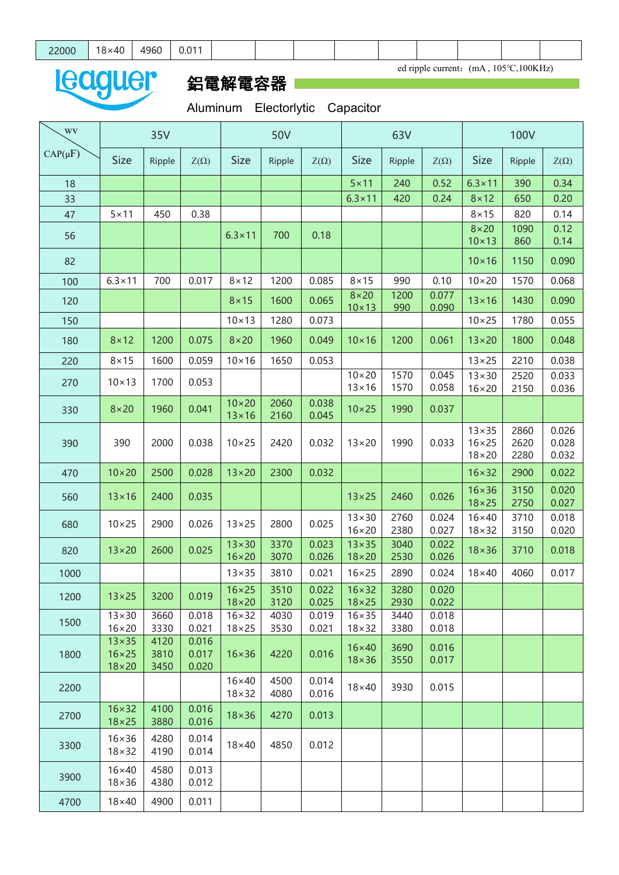ed ripple current: (mA, 105°C,100KHz)

## leaguer 鋁電解電容器

Aluminum Electorlytic Capacitor

| $CAP(\mu F)$<br><b>Size</b><br><b>Size</b><br><b>Size</b><br><b>Size</b><br>Ripple<br>$Z(\Omega)$<br>Ripple<br>$Z(\Omega)$<br>Ripple<br>$Z(\Omega)$<br>$Z(\Omega)$<br>Ripple<br>$5 \times 11$<br>0.52<br>$6.3 \times 11$<br>240<br>390<br>0.34<br>18<br>$6.3 \times 11$<br>420<br>0.24<br>$8 \times 12$<br>0.20<br>650<br>33<br>$5 \times 11$<br>450<br>0.38<br>$8 \times 15$<br>820<br>0.14<br>47<br>0.12<br>$8 \times 20$<br>1090<br>$6.3 \times 11$<br>700<br>0.18<br>56<br>0.14<br>$10 \times 13$<br>860<br>0.090<br>$10\times 16$<br>1150<br>82<br>$10 \times 20$<br>$6.3 \times 11$<br>700<br>0.017<br>$8 \times 12$<br>1200<br>0.085<br>$8 \times 15$<br>990<br>0.10<br>1570<br>0.068<br>100<br>1200<br>0.077<br>$8 \times 20$<br>0.065<br>1600<br>$13 \times 16$<br>0.090<br>$8 \times 15$<br>1430<br>120<br>$10 \times 13$<br>990<br>0.090<br>$10 \times 13$<br>1280<br>0.073<br>$10 \times 25$<br>0.055<br>1780<br>150<br>0.048<br>$8 \times 12$<br>1200<br>0.075<br>$8 \times 20$<br>1960<br>0.049<br>$10\times 16$<br>1200<br>0.061<br>$13 \times 20$<br>1800<br>180<br>$10 \times 16$<br>1650<br>0.053<br>$13 \times 25$<br>$8 \times 15$<br>1600<br>0.059<br>2210<br>0.038<br>220<br>$10\times20$<br>1570<br>0.045<br>$13 \times 30$<br>0.033<br>2520<br>$10 \times 13$<br>1700<br>0.053<br>270<br>$13 \times 16$<br>1570<br>0.058<br>0.036<br>$16 \times 20$<br>2150<br>$10\times20$<br>2060<br>0.038<br>$8 \times 20$<br>1960<br>0.041<br>$10 \times 25$<br>1990<br>0.037<br>330<br>$13\times16$<br>2160<br>0.045<br>$13 \times 35$<br>2860<br>0.026<br>$16 \times 25$<br>0.028<br>2620<br>390<br>2000<br>0.038<br>$10 \times 25$<br>2420<br>0.032<br>$13 \times 20$<br>1990<br>0.033<br>390<br>0.032<br>$18\times20$<br>2280<br>$10\times20$<br>2500<br>0.028<br>$13\times20$<br>2300<br>0.032<br>0.022<br>$16 \times 32$<br>2900<br>470<br>$16 \times 36$<br>0.020<br>3150<br>2400<br>$13 \times 25$<br>0.026<br>$13\times16$<br>0.035<br>2460<br>560<br>$18 \times 25$<br>0.027<br>2750<br>$13 \times 30$<br>0.024<br>$16\times40$<br>0.018<br>2760<br>3710<br>2900<br>0.026<br>$10 \times 25$<br>$13 \times 25$<br>2800<br>0.025<br>680<br>$16 \times 20$<br>2380<br>0.027<br>$18 \times 32$<br>0.020<br>3150<br>$13\times30$<br>3370<br>0.023<br>$13 \times 35$<br>3040<br>0.022<br>2600<br>0.025<br>$18 \times 36$<br>$13 \times 20$<br>3710<br>0.018<br>820<br>$16 \times 20$<br>3070<br>0.026<br>0.026<br>$18\times20$<br>2530<br>0.021<br>$16 \times 25$<br>2890<br>0.024<br>$18\times40$<br>0.017<br>$13 \times 35$<br>3810<br>4060<br>1000<br>$16 \times 25$<br>3510<br>$0.022$   16×32<br>3280<br>0.020<br>$13 \times 25$<br>3200<br>0.019<br>1200<br>$18\times20$<br>3120<br>0.025<br>$18 \times 25$<br>2930<br>0.022<br>$13\times30$<br>$16 \times 32$<br>$16 \times 35$<br>3660<br>0.018<br>4030<br>0.019<br>3440<br>0.018<br>1500<br>$16 \times 20$<br>3330<br>0.021<br>3530<br>$18 \times 25$<br>0.021<br>$18 \times 32$<br>3380<br>0.018<br>$13 \times 35$<br>4120<br>0.016<br>$16\times40$<br>3690<br>0.016<br>$16 \times 25$<br>3810<br>0.017<br>$16 \times 36$<br>4220<br>0.016<br>1800<br>$18\times36$<br>3550<br>0.017<br>0.020<br>$18\times20$<br>3450<br>$16\times40$<br>4500<br>0.014<br>$18\times40$<br>2200<br>3930<br>0.015<br>$18 \times 32$<br>0.016<br>4080<br>$16 \times 32$<br>4100<br>0.016<br>$18\times36$<br>4270<br>0.013<br>2700<br>$18 \times 25$<br>3880<br>0.016<br>$16 \times 36$<br>4280<br>0.014<br>$18\times40$<br>4850<br>0.012<br>3300<br>$18 \times 32$<br>0.014<br>4190<br>$16\times40$<br>4580<br>0.013<br>3900<br>$18\times36$<br>4380<br>0.012<br>4900<br>0.011<br>$18\times40$<br>4700 | <b>WV</b> | 35V |  | 50V |  |  | 63V | <b>100V</b> |  |  |  |
|--------------------------------------------------------------------------------------------------------------------------------------------------------------------------------------------------------------------------------------------------------------------------------------------------------------------------------------------------------------------------------------------------------------------------------------------------------------------------------------------------------------------------------------------------------------------------------------------------------------------------------------------------------------------------------------------------------------------------------------------------------------------------------------------------------------------------------------------------------------------------------------------------------------------------------------------------------------------------------------------------------------------------------------------------------------------------------------------------------------------------------------------------------------------------------------------------------------------------------------------------------------------------------------------------------------------------------------------------------------------------------------------------------------------------------------------------------------------------------------------------------------------------------------------------------------------------------------------------------------------------------------------------------------------------------------------------------------------------------------------------------------------------------------------------------------------------------------------------------------------------------------------------------------------------------------------------------------------------------------------------------------------------------------------------------------------------------------------------------------------------------------------------------------------------------------------------------------------------------------------------------------------------------------------------------------------------------------------------------------------------------------------------------------------------------------------------------------------------------------------------------------------------------------------------------------------------------------------------------------------------------------------------------------------------------------------------------------------------------------------------------------------------------------------------------------------------------------------------------------------------------------------------------------------------------------------------------------------------------------------------------------------------------------------------------------------------------------------------------------------------------------------------------------------------------------------------------------------------------------------------------------------------------------------------------------------------------------------------------------------------------------------------------------------------------------------------------------------------------------------------------------------------------------------------------------------------------------------------------------------------------------------------------------|-----------|-----|--|-----|--|--|-----|-------------|--|--|--|
|                                                                                                                                                                                                                                                                                                                                                                                                                                                                                                                                                                                                                                                                                                                                                                                                                                                                                                                                                                                                                                                                                                                                                                                                                                                                                                                                                                                                                                                                                                                                                                                                                                                                                                                                                                                                                                                                                                                                                                                                                                                                                                                                                                                                                                                                                                                                                                                                                                                                                                                                                                                                                                                                                                                                                                                                                                                                                                                                                                                                                                                                                                                                                                                                                                                                                                                                                                                                                                                                                                                                                                                                                                                              |           |     |  |     |  |  |     |             |  |  |  |
|                                                                                                                                                                                                                                                                                                                                                                                                                                                                                                                                                                                                                                                                                                                                                                                                                                                                                                                                                                                                                                                                                                                                                                                                                                                                                                                                                                                                                                                                                                                                                                                                                                                                                                                                                                                                                                                                                                                                                                                                                                                                                                                                                                                                                                                                                                                                                                                                                                                                                                                                                                                                                                                                                                                                                                                                                                                                                                                                                                                                                                                                                                                                                                                                                                                                                                                                                                                                                                                                                                                                                                                                                                                              |           |     |  |     |  |  |     |             |  |  |  |
|                                                                                                                                                                                                                                                                                                                                                                                                                                                                                                                                                                                                                                                                                                                                                                                                                                                                                                                                                                                                                                                                                                                                                                                                                                                                                                                                                                                                                                                                                                                                                                                                                                                                                                                                                                                                                                                                                                                                                                                                                                                                                                                                                                                                                                                                                                                                                                                                                                                                                                                                                                                                                                                                                                                                                                                                                                                                                                                                                                                                                                                                                                                                                                                                                                                                                                                                                                                                                                                                                                                                                                                                                                                              |           |     |  |     |  |  |     |             |  |  |  |
|                                                                                                                                                                                                                                                                                                                                                                                                                                                                                                                                                                                                                                                                                                                                                                                                                                                                                                                                                                                                                                                                                                                                                                                                                                                                                                                                                                                                                                                                                                                                                                                                                                                                                                                                                                                                                                                                                                                                                                                                                                                                                                                                                                                                                                                                                                                                                                                                                                                                                                                                                                                                                                                                                                                                                                                                                                                                                                                                                                                                                                                                                                                                                                                                                                                                                                                                                                                                                                                                                                                                                                                                                                                              |           |     |  |     |  |  |     |             |  |  |  |
|                                                                                                                                                                                                                                                                                                                                                                                                                                                                                                                                                                                                                                                                                                                                                                                                                                                                                                                                                                                                                                                                                                                                                                                                                                                                                                                                                                                                                                                                                                                                                                                                                                                                                                                                                                                                                                                                                                                                                                                                                                                                                                                                                                                                                                                                                                                                                                                                                                                                                                                                                                                                                                                                                                                                                                                                                                                                                                                                                                                                                                                                                                                                                                                                                                                                                                                                                                                                                                                                                                                                                                                                                                                              |           |     |  |     |  |  |     |             |  |  |  |
|                                                                                                                                                                                                                                                                                                                                                                                                                                                                                                                                                                                                                                                                                                                                                                                                                                                                                                                                                                                                                                                                                                                                                                                                                                                                                                                                                                                                                                                                                                                                                                                                                                                                                                                                                                                                                                                                                                                                                                                                                                                                                                                                                                                                                                                                                                                                                                                                                                                                                                                                                                                                                                                                                                                                                                                                                                                                                                                                                                                                                                                                                                                                                                                                                                                                                                                                                                                                                                                                                                                                                                                                                                                              |           |     |  |     |  |  |     |             |  |  |  |
|                                                                                                                                                                                                                                                                                                                                                                                                                                                                                                                                                                                                                                                                                                                                                                                                                                                                                                                                                                                                                                                                                                                                                                                                                                                                                                                                                                                                                                                                                                                                                                                                                                                                                                                                                                                                                                                                                                                                                                                                                                                                                                                                                                                                                                                                                                                                                                                                                                                                                                                                                                                                                                                                                                                                                                                                                                                                                                                                                                                                                                                                                                                                                                                                                                                                                                                                                                                                                                                                                                                                                                                                                                                              |           |     |  |     |  |  |     |             |  |  |  |
|                                                                                                                                                                                                                                                                                                                                                                                                                                                                                                                                                                                                                                                                                                                                                                                                                                                                                                                                                                                                                                                                                                                                                                                                                                                                                                                                                                                                                                                                                                                                                                                                                                                                                                                                                                                                                                                                                                                                                                                                                                                                                                                                                                                                                                                                                                                                                                                                                                                                                                                                                                                                                                                                                                                                                                                                                                                                                                                                                                                                                                                                                                                                                                                                                                                                                                                                                                                                                                                                                                                                                                                                                                                              |           |     |  |     |  |  |     |             |  |  |  |
|                                                                                                                                                                                                                                                                                                                                                                                                                                                                                                                                                                                                                                                                                                                                                                                                                                                                                                                                                                                                                                                                                                                                                                                                                                                                                                                                                                                                                                                                                                                                                                                                                                                                                                                                                                                                                                                                                                                                                                                                                                                                                                                                                                                                                                                                                                                                                                                                                                                                                                                                                                                                                                                                                                                                                                                                                                                                                                                                                                                                                                                                                                                                                                                                                                                                                                                                                                                                                                                                                                                                                                                                                                                              |           |     |  |     |  |  |     |             |  |  |  |
|                                                                                                                                                                                                                                                                                                                                                                                                                                                                                                                                                                                                                                                                                                                                                                                                                                                                                                                                                                                                                                                                                                                                                                                                                                                                                                                                                                                                                                                                                                                                                                                                                                                                                                                                                                                                                                                                                                                                                                                                                                                                                                                                                                                                                                                                                                                                                                                                                                                                                                                                                                                                                                                                                                                                                                                                                                                                                                                                                                                                                                                                                                                                                                                                                                                                                                                                                                                                                                                                                                                                                                                                                                                              |           |     |  |     |  |  |     |             |  |  |  |
|                                                                                                                                                                                                                                                                                                                                                                                                                                                                                                                                                                                                                                                                                                                                                                                                                                                                                                                                                                                                                                                                                                                                                                                                                                                                                                                                                                                                                                                                                                                                                                                                                                                                                                                                                                                                                                                                                                                                                                                                                                                                                                                                                                                                                                                                                                                                                                                                                                                                                                                                                                                                                                                                                                                                                                                                                                                                                                                                                                                                                                                                                                                                                                                                                                                                                                                                                                                                                                                                                                                                                                                                                                                              |           |     |  |     |  |  |     |             |  |  |  |
|                                                                                                                                                                                                                                                                                                                                                                                                                                                                                                                                                                                                                                                                                                                                                                                                                                                                                                                                                                                                                                                                                                                                                                                                                                                                                                                                                                                                                                                                                                                                                                                                                                                                                                                                                                                                                                                                                                                                                                                                                                                                                                                                                                                                                                                                                                                                                                                                                                                                                                                                                                                                                                                                                                                                                                                                                                                                                                                                                                                                                                                                                                                                                                                                                                                                                                                                                                                                                                                                                                                                                                                                                                                              |           |     |  |     |  |  |     |             |  |  |  |
|                                                                                                                                                                                                                                                                                                                                                                                                                                                                                                                                                                                                                                                                                                                                                                                                                                                                                                                                                                                                                                                                                                                                                                                                                                                                                                                                                                                                                                                                                                                                                                                                                                                                                                                                                                                                                                                                                                                                                                                                                                                                                                                                                                                                                                                                                                                                                                                                                                                                                                                                                                                                                                                                                                                                                                                                                                                                                                                                                                                                                                                                                                                                                                                                                                                                                                                                                                                                                                                                                                                                                                                                                                                              |           |     |  |     |  |  |     |             |  |  |  |
|                                                                                                                                                                                                                                                                                                                                                                                                                                                                                                                                                                                                                                                                                                                                                                                                                                                                                                                                                                                                                                                                                                                                                                                                                                                                                                                                                                                                                                                                                                                                                                                                                                                                                                                                                                                                                                                                                                                                                                                                                                                                                                                                                                                                                                                                                                                                                                                                                                                                                                                                                                                                                                                                                                                                                                                                                                                                                                                                                                                                                                                                                                                                                                                                                                                                                                                                                                                                                                                                                                                                                                                                                                                              |           |     |  |     |  |  |     |             |  |  |  |
|                                                                                                                                                                                                                                                                                                                                                                                                                                                                                                                                                                                                                                                                                                                                                                                                                                                                                                                                                                                                                                                                                                                                                                                                                                                                                                                                                                                                                                                                                                                                                                                                                                                                                                                                                                                                                                                                                                                                                                                                                                                                                                                                                                                                                                                                                                                                                                                                                                                                                                                                                                                                                                                                                                                                                                                                                                                                                                                                                                                                                                                                                                                                                                                                                                                                                                                                                                                                                                                                                                                                                                                                                                                              |           |     |  |     |  |  |     |             |  |  |  |
|                                                                                                                                                                                                                                                                                                                                                                                                                                                                                                                                                                                                                                                                                                                                                                                                                                                                                                                                                                                                                                                                                                                                                                                                                                                                                                                                                                                                                                                                                                                                                                                                                                                                                                                                                                                                                                                                                                                                                                                                                                                                                                                                                                                                                                                                                                                                                                                                                                                                                                                                                                                                                                                                                                                                                                                                                                                                                                                                                                                                                                                                                                                                                                                                                                                                                                                                                                                                                                                                                                                                                                                                                                                              |           |     |  |     |  |  |     |             |  |  |  |
|                                                                                                                                                                                                                                                                                                                                                                                                                                                                                                                                                                                                                                                                                                                                                                                                                                                                                                                                                                                                                                                                                                                                                                                                                                                                                                                                                                                                                                                                                                                                                                                                                                                                                                                                                                                                                                                                                                                                                                                                                                                                                                                                                                                                                                                                                                                                                                                                                                                                                                                                                                                                                                                                                                                                                                                                                                                                                                                                                                                                                                                                                                                                                                                                                                                                                                                                                                                                                                                                                                                                                                                                                                                              |           |     |  |     |  |  |     |             |  |  |  |
|                                                                                                                                                                                                                                                                                                                                                                                                                                                                                                                                                                                                                                                                                                                                                                                                                                                                                                                                                                                                                                                                                                                                                                                                                                                                                                                                                                                                                                                                                                                                                                                                                                                                                                                                                                                                                                                                                                                                                                                                                                                                                                                                                                                                                                                                                                                                                                                                                                                                                                                                                                                                                                                                                                                                                                                                                                                                                                                                                                                                                                                                                                                                                                                                                                                                                                                                                                                                                                                                                                                                                                                                                                                              |           |     |  |     |  |  |     |             |  |  |  |
|                                                                                                                                                                                                                                                                                                                                                                                                                                                                                                                                                                                                                                                                                                                                                                                                                                                                                                                                                                                                                                                                                                                                                                                                                                                                                                                                                                                                                                                                                                                                                                                                                                                                                                                                                                                                                                                                                                                                                                                                                                                                                                                                                                                                                                                                                                                                                                                                                                                                                                                                                                                                                                                                                                                                                                                                                                                                                                                                                                                                                                                                                                                                                                                                                                                                                                                                                                                                                                                                                                                                                                                                                                                              |           |     |  |     |  |  |     |             |  |  |  |
|                                                                                                                                                                                                                                                                                                                                                                                                                                                                                                                                                                                                                                                                                                                                                                                                                                                                                                                                                                                                                                                                                                                                                                                                                                                                                                                                                                                                                                                                                                                                                                                                                                                                                                                                                                                                                                                                                                                                                                                                                                                                                                                                                                                                                                                                                                                                                                                                                                                                                                                                                                                                                                                                                                                                                                                                                                                                                                                                                                                                                                                                                                                                                                                                                                                                                                                                                                                                                                                                                                                                                                                                                                                              |           |     |  |     |  |  |     |             |  |  |  |
|                                                                                                                                                                                                                                                                                                                                                                                                                                                                                                                                                                                                                                                                                                                                                                                                                                                                                                                                                                                                                                                                                                                                                                                                                                                                                                                                                                                                                                                                                                                                                                                                                                                                                                                                                                                                                                                                                                                                                                                                                                                                                                                                                                                                                                                                                                                                                                                                                                                                                                                                                                                                                                                                                                                                                                                                                                                                                                                                                                                                                                                                                                                                                                                                                                                                                                                                                                                                                                                                                                                                                                                                                                                              |           |     |  |     |  |  |     |             |  |  |  |
|                                                                                                                                                                                                                                                                                                                                                                                                                                                                                                                                                                                                                                                                                                                                                                                                                                                                                                                                                                                                                                                                                                                                                                                                                                                                                                                                                                                                                                                                                                                                                                                                                                                                                                                                                                                                                                                                                                                                                                                                                                                                                                                                                                                                                                                                                                                                                                                                                                                                                                                                                                                                                                                                                                                                                                                                                                                                                                                                                                                                                                                                                                                                                                                                                                                                                                                                                                                                                                                                                                                                                                                                                                                              |           |     |  |     |  |  |     |             |  |  |  |
|                                                                                                                                                                                                                                                                                                                                                                                                                                                                                                                                                                                                                                                                                                                                                                                                                                                                                                                                                                                                                                                                                                                                                                                                                                                                                                                                                                                                                                                                                                                                                                                                                                                                                                                                                                                                                                                                                                                                                                                                                                                                                                                                                                                                                                                                                                                                                                                                                                                                                                                                                                                                                                                                                                                                                                                                                                                                                                                                                                                                                                                                                                                                                                                                                                                                                                                                                                                                                                                                                                                                                                                                                                                              |           |     |  |     |  |  |     |             |  |  |  |
|                                                                                                                                                                                                                                                                                                                                                                                                                                                                                                                                                                                                                                                                                                                                                                                                                                                                                                                                                                                                                                                                                                                                                                                                                                                                                                                                                                                                                                                                                                                                                                                                                                                                                                                                                                                                                                                                                                                                                                                                                                                                                                                                                                                                                                                                                                                                                                                                                                                                                                                                                                                                                                                                                                                                                                                                                                                                                                                                                                                                                                                                                                                                                                                                                                                                                                                                                                                                                                                                                                                                                                                                                                                              |           |     |  |     |  |  |     |             |  |  |  |
|                                                                                                                                                                                                                                                                                                                                                                                                                                                                                                                                                                                                                                                                                                                                                                                                                                                                                                                                                                                                                                                                                                                                                                                                                                                                                                                                                                                                                                                                                                                                                                                                                                                                                                                                                                                                                                                                                                                                                                                                                                                                                                                                                                                                                                                                                                                                                                                                                                                                                                                                                                                                                                                                                                                                                                                                                                                                                                                                                                                                                                                                                                                                                                                                                                                                                                                                                                                                                                                                                                                                                                                                                                                              |           |     |  |     |  |  |     |             |  |  |  |
|                                                                                                                                                                                                                                                                                                                                                                                                                                                                                                                                                                                                                                                                                                                                                                                                                                                                                                                                                                                                                                                                                                                                                                                                                                                                                                                                                                                                                                                                                                                                                                                                                                                                                                                                                                                                                                                                                                                                                                                                                                                                                                                                                                                                                                                                                                                                                                                                                                                                                                                                                                                                                                                                                                                                                                                                                                                                                                                                                                                                                                                                                                                                                                                                                                                                                                                                                                                                                                                                                                                                                                                                                                                              |           |     |  |     |  |  |     |             |  |  |  |
|                                                                                                                                                                                                                                                                                                                                                                                                                                                                                                                                                                                                                                                                                                                                                                                                                                                                                                                                                                                                                                                                                                                                                                                                                                                                                                                                                                                                                                                                                                                                                                                                                                                                                                                                                                                                                                                                                                                                                                                                                                                                                                                                                                                                                                                                                                                                                                                                                                                                                                                                                                                                                                                                                                                                                                                                                                                                                                                                                                                                                                                                                                                                                                                                                                                                                                                                                                                                                                                                                                                                                                                                                                                              |           |     |  |     |  |  |     |             |  |  |  |